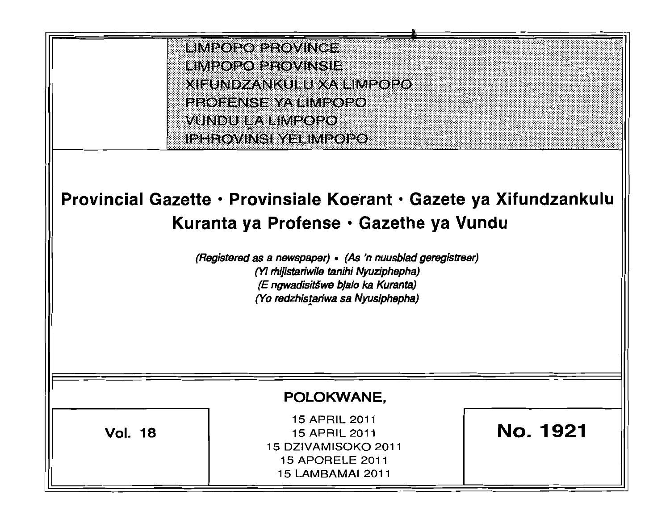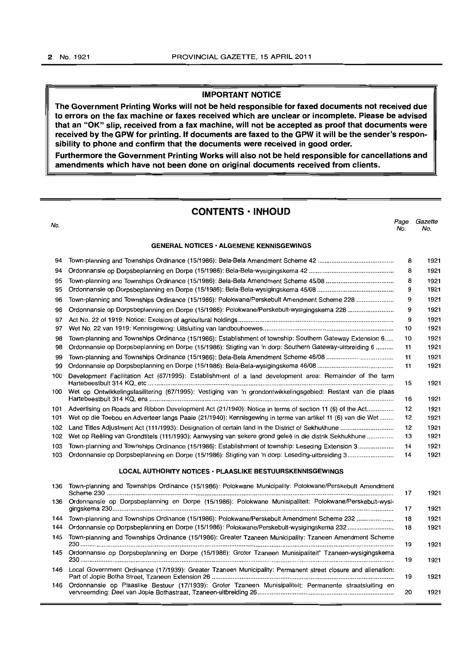#### IMPORTANT NOTICE

The Government Printing Works will not be held responsible for faxed documents not received due to errors on the fax machine or faxes received which are unclear or incomplete. Please be advised that an "OK" slip, received from a fax machine, will not be accepted as proof that documents were received by the GPW for printing. If documents are faxed to the GPW it will be the sender's responsibility to phone and confirm that the documents were received in good order.

Furthermore the Government Printing Works will also not be held responsible for cancellations and amendments which have not been done on original documents received from clients.

# CONTENTS· INHOUD no.<br>No. Page Gazette No. No. GENERAL NOTICES· ALGEMENE KENNISGEWINGS 94 Town-planning and Townships Ordinance (15/1986): Bela-Bela Amendment Scheme 42 .......................................... . 8 1921 94 Ordonnansie op Dorpsbeplanning en Dorpe (15/1986): Bela-Bela-wysigingskema 42 ............................................... . 8 1921 95 Town-planning and Townships Ordinance (15/1986): Bela-Bela Amendment Scheme 45/08 .................................... .. 8 1921 95 Ordonnansie op Dorpsbeplanning en Dorpe (15/1986): Bela-Bela-wysigingskema 45/08 .......................................... . 9 1921 96 Town-planning and Townships Ordinance (15/1986): Polokwane/Perskebult Amendment Scheme 228 .................... . 9 1921 96 Ordonnansie op Dorpsbeplanning en Dorpe (15/1986): Polokwane/Perskebult-wysigingskema 228 ........................ .. 9 1921 97 Act No. 22 of 1919: Notice: Excision of agricultural holdings ....................................................................................... . 9 1921 97 Wet No. 22 van 1919: Kennisgewing: Uitsluiting van landbouhoewes ........................................................................ .. 10 1921 98 Town-planning and Townships Ordinance (15/1986): Establishment of township: Southern Gateway Extension 6..... 10 1921 98 Ordonnansie op Dorpsbeplanning en Dorpe (1511986): Stigting van 'n dorp: Southern Gateway-uitbreiding 6 ......... . 11 1921 99 Town-planning and Townships Ordinance (15/1986): Bela-Bela Amendment Scheme 46/08 .................................... .. 11 1921 99 Ordonnansie op Dorpsbeplanning en Dorpe (15/1986): Bela-Bela-wysigingskema 46/08 .......................................... . 11 1921 100 Development Facilitation Act (67/1995): Establishment of a land development area: Remainder of the farm Hartebeestbult 314 KQ, etc ......................................................................................................................................... .. 15 1921 100 Wet op Ontwikkelingsfasilitering (67/1995): Vestiging van 'n grondontwikkelingsgebied: Restant van die plaas Hartebeestbult 314 KQ. ens ......................................................................................................................................... . 16 1921 101 Advertising on Roads and Ribbon Development Act (21/1940): Notice in terms of section 11 (6) of the Act... ........... . 12 1921 101 Wet op die Toebou en Adverteer langs Paaie (21/1940): Kennisgewing in terme van artikell1 (6) van die Wet.. ..... . 12 1921 102 Land Titles Adjustment Act (111/1993): Designation of certain land in the District of Sekhukhune ............................. . 12 1921 102 Wet op Reeling van Grandtitels (111/1993): Aanwysing van sekere grand gelee in die distrik Sekhukhune ............. .. 13 1921 103 Town-planning and Townships Ordinance (15/1986): Establishment of township: Leseding Extension 3 .................. .. 14 1921 103 Ordonnansie op Dorpsbeplanning en Dorpe (15/1986): Stigting van 'n dorp: Leseding-uitbreiding 3 ........................ .. 14 1921 LOCAL AUTHORITY NOTICES · PLAASLIKE BESTUURSKENNISGEWINGS 136 Town-planning and Townships Ordinance (15/1986): Polokwane Municipality: Polokwane/Perskebult Amendment Scheme 230 ........................ ............................... ................................... ................................ ........... .......... ... ......... ....... 17 1921 136 Ordonnansie op Dorpsbeplanning en Dorpe (15/1986): Polokwane Munisipaliteit: Polokwane/Perskebult-wysigingskema 230............................................................................................................................................................... 17 1921 144 Town-planning and Townships Ordinance (15/1986): Polokwane/Perskebult Amendment Scheme 232 ..................... 18 1921 144 Ordonnansie op Dorpsbeplanning en Dorpe (1511986): Polokwane/Perskebult-wysigingskema 232 .......................... 18 1921 145 Town-planning and Townships Ordinance (15/1986): Greater Tzaneen Municipality: Tzaneen Amendment Scheme 230................................................................................................................................................................................. 19 1921 145 Ordonnansie op Dorpsbeplanning en Dorpe (15/1986): Groter Tzaneen Munisipaliteit" Tzaneen-wysigingskema 230................................................................................................................................................................................. 19 1921 146 Local Government Ordinance (17/1939): Greater Tzaneen Municipality: Permanent street closure and alienation: Part of Jopie Botha Street, Tzaneen Extension 26 ....................................................................................................... 19 1921

146 Ordonnansie op Plaaslike Bestuur (17/1939): Groter Tzaneen Munisipaliteit: Permanente straatsluiting en vervreemding: Deel van Jopie Bothastraat. Tzaneen-uitbreiding 26............................................................................. 20 1921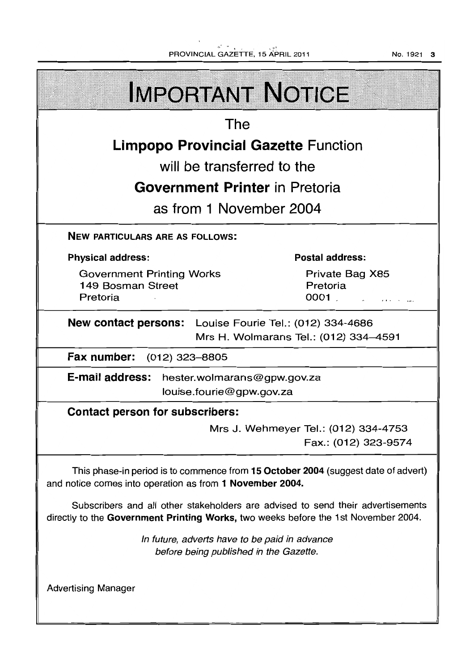.~ ~ ¥ PROVINCIAL GAZETTE. 15 APRIL 2011

No. 1921 3

**IMPORTANT NOTICE** The **Limpopo Provincial Gazette** Function will be transferred to the **Government Printer** in Pretoria as from 1 November 2004 NEW PARTICULARS ARE AS FOLLOWS: Physical address: Postal address: Government Printing Works Private Bag X85 149 Bosman Street Pretoria Pretoria 0001 .  $\mathbf{z}$  and  $\mathbf{z}$  and  $\mathbf{z}$ New contact persons: Louise Fourie Tel.: (012) 334-4686 Mrs H. Wolmarans Tel.: (012) 334-4591 Fax number: (012) 323-8805 E-mail address: hester.wolmarans@gpw.gov.za louise.fourie@gpw.gov.za Contact person for subscribers: Mrs J. Wehmeyer Tel.: (012) 334-4753 Fax.: (012) 323-9574 This phase-in period is to commence from 15 October 2004 (suggest date of advert) and notice comes into operation as from 1 November 2004. Subscribers and all other stakeholders are advised to send their advertisements directly to the Government Printing Works, two weeks before the 1st November 2004. In future, adverts have to be paid in advance before being published in the Gazette. Advertising Manager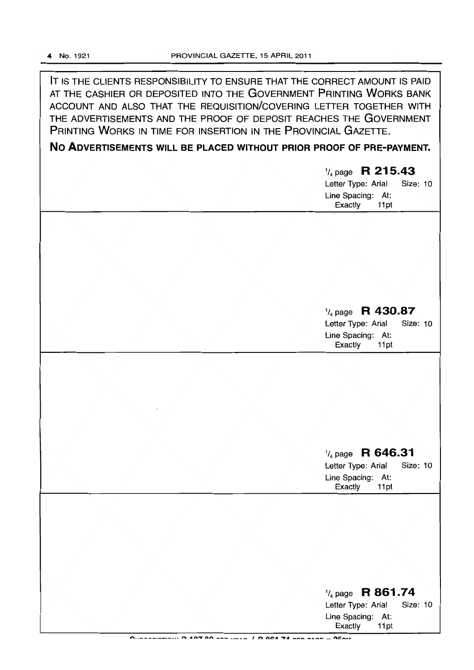**IT** IS THE CLIENTS RESPONSIBILITY TO ENSURE THAT THE CORRECT AMOUNT IS PAID AT THE CASHIER OR DEPOSITED INTO THE GOVERNMENT PRINTING WORKS BANK ACCOUNT AND ALSO THAT THE REQUISITION/COVERING LETTER TOGETHER WITH THE ADVERTISEMENTS AND THE PROOF OF DEPOSIT REACHES THE GOVERNMENT PRINTING WORKS IN TIME FOR INSERTION IN THE PROVINCIAL GAZETTE.

**No ADVERTISEMENTS WILL BE PLACED WITHOUT PRIOR PROOF OF PRE-PAYMENT.** 

| $\frac{1}{4}$ page R 215.43<br><b>Size: 10</b><br>Letter Type: Arial<br>Line Spacing: At:<br>Exactly<br>11pt |
|--------------------------------------------------------------------------------------------------------------|
|                                                                                                              |
| $\frac{1}{4}$ page R 430.87<br>Letter Type: Arial<br>Size: 10<br>Line Spacing: At:<br>Exactly<br>11pt        |
|                                                                                                              |
| $\frac{1}{4}$ page R 646.31<br>Letter Type: Arial<br>Size: 10<br>Line Spacing: At:<br>Exactly<br>11pt        |
|                                                                                                              |
| $\frac{1}{4}$ page R 861.74<br>Letter Type: Arial<br><b>Size: 10</b><br>Line Spacing: At:<br>Exactly<br>11pt |

**t!"t •• \_\_\_\_\_\_\_\_\_ .. a. " at tl"'l' nn \_\_\_ .. ,,\_ ... \_ I n** o~ .. **-'A \_\_\_\_ a \_\_\_ '''It::\_ ...**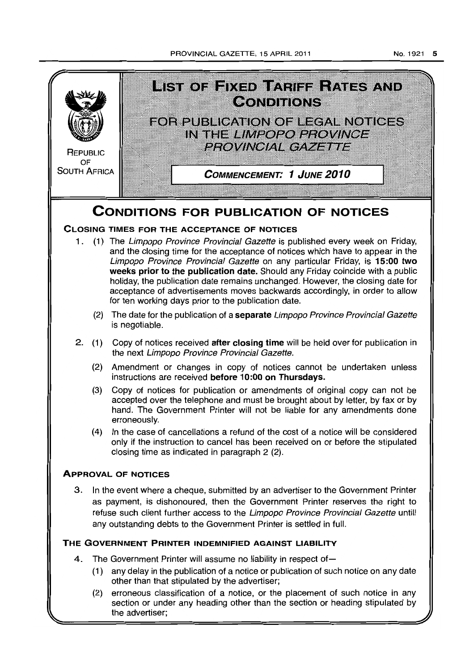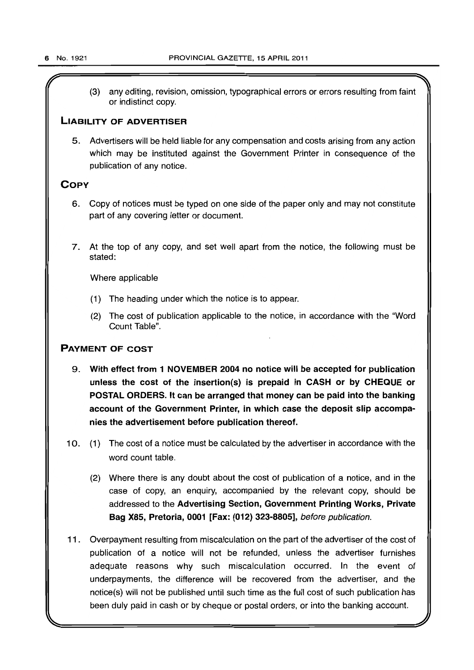(3) any editing, revision, omission, typographical errors or errors resulting from faint or indistinct copy.

# LIABILITY OF ADVERTISER

5. Advertisers will be held liable for any compensation and costs arising from any action which may be instituted against the Government Printer in consequence of the publication of any notice.

# **COPY**

- 6. Gopy of notices must be typed on one side of the paper only and may not constitute part of any covering letter or document.
- 7. At the top of any copy, and set well apart from the notice, the following must be stated:

Where applicable

- (1) The heading under which the notice is to appear.
- (2) The cost of publication applicable to the notice, in accordance with the "Word Count Table".

# PAYMENT OF COST

- 9. With effect from 1 NOVEMBER 2004 no notice will be accepted for publication unless the cost of the insertion(s) is prepaid in CASH or by CHEQUE or POSTAL ORDERS. It can be arranged that money can be paid into the banking account of the Government Printer, in which case the deposit slip accompanies the advertisement before publication thereof.
- 10. (1) The cost of a notice must be calculated by the advertiser in accordance with the word count table.
	- (2) Where there is any doubt about the cost of publication of a notice. and in the case of copy, an enquiry, accompanied by the relevant copy, should be addressed to the Advertising Section, Government Printing Works, Private Bag X85, Pretoria, 0001 [Fax: (012) 323-8805], before publication.
- 11. Overpayment resulting from miscalculation on the part of the advertiser of the cost of publication of a notice will not be refunded, unless the advertiser furnishes adequate reasons why such miscalculation occurred. In the event of underpayments, the difference will be recovered from the advertiser, and the notice(s) will not be published until such time as the full cost of such publication has been duly paid in cash or by cheque or postal orders, or into the banking account.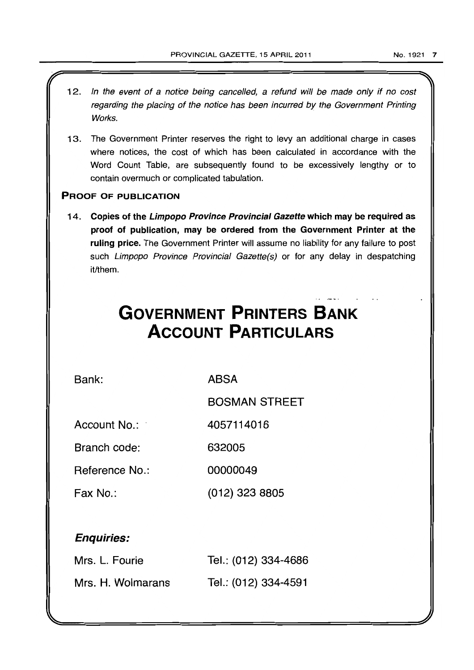- 12. In the event of a notice being cancelled, a refund will be made only if no cost regarding the placing of the notice has been incurred by the Government Printing Works.
- 13. The Government Printer reserves the right to levy an additional charge in cases where notices, the cost of which has been calculated in accordance with the Word Count Table, are subsequently found to be excessively lengthy or to contain overmuch or complicated tabulation.

# PROOF OF PUBLICATION

14. Copies of the Limpopo Province Provincial Gazette which may be required as proof of publication, may be ordered from the Government Printer at the ruling price. The Government Printer will assume no liability for any failure to post such Limpopo Province Provincial Gazette(s) or for any delay in despatching it/them.

# **GOVERNMENT PRINTERS BANK ACCOUNT PARTICULARS**

Bank:

ABSA

BOSMAN STREET

Account No.: 4057114016

Branch code: 632005

Reference No.: 00000049

Fax No.: (012) 323 8805

# Enquiries:

| Mrs. L. Fourie    | Tel.: (012) 334-4686 |
|-------------------|----------------------|
| Mrs. H. Wolmarans | Tel.: (012) 334-4591 |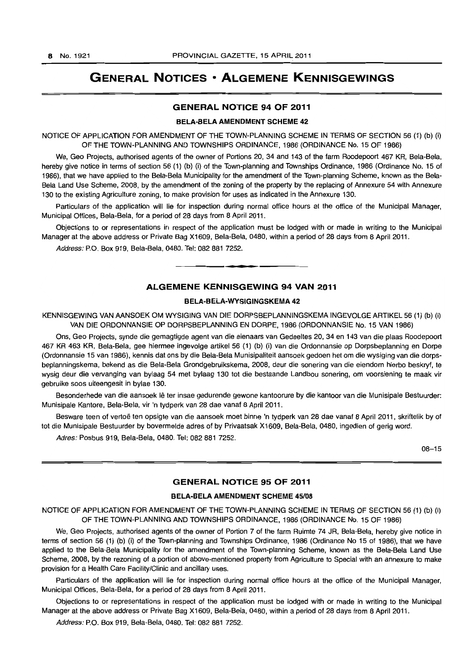# **GENERAL NOTICES • ALGEMENE KENNISGEWINGS**

#### GENERAL NOTICE 94 OF 2011

#### BELA-BELA AMENDMENT SCHEME 42

NOTICE OF APPLICATION FOR AMENDMENT OF THE TOWN-PLANNING SCHEME IN TERMS OF SECTION 56 (1) (b) (i) OF THE TOWN-PLANNING AND TOWNSHIPS ORDINANCE, 1986 (ORDINANCE No. 15 OF 1986)

We, Geo Projects, authorised agents of the owner of Portions 20, 34 and 143 of the farm Roodepoort 467 KR, Bela-Bela, hereby give notice in terms of section 56 (1) (b) (i) of the Town-planning and Townships Ordinance, 1986 (Ordinance No. 15 of 1986), that we have applied to the Bela-Bela Municipality for the amendment of the Town-planning Scheme, known as the Bela-Bela Land Use Scheme, 2008, by the amendment of the zoning of the property by the replacing of Annexure 54 with Annexure 130 to the existing Agriculture zoning, to make provision for uses as indicated in the Annexure 130.

Particulars of the application will lie for inspection during normal office hours at the office of the Municipal Manager, Municipal Offices, Bela-Bela, for a period of 28 days from 8 April 2011.

Objections to or representations in respect of the application must be lodged with or made in writing to the Municipal Manager at the above address or Private Bag X1609, Bela-Bela, 0480, within a period of 28 days from 8 April 2011.

Address: P.O. Box 919, Bela-Bela, 0480. Tel: 082 881 7252 .

# ALGEMENE KENNISGEWING 94 VAN 2011

• **• •** 

#### BELA-BElA-WYSIGINGSKEMA 42

KENNISGEWING VAN AANSOEK OM WYSIGING VAN DIE DORPSBEPLANNINGSKEMA INGEVOLGE ARTIKEL 56 (1) (b) (i) VAN DIE ORDONNANSIE OP DORPSBEPLANNING EN DORPE, 1986 (ORDONNANSIE No. 15 VAN 1986)

Ons, Geo Projects, synde die gemagtigde agent van die eienaars van Gedeeltes 20, 34 en 143 van die plaas Roodepoort 467 KR 463 KR, Bela-Bela, gee hiermee ingevolge artikel 56 (1) (b) (i) van die Ordonnansie op Dorpsbeplanning en Dorpe (Ordonnansie 15 van 1986), kennis dat ons by die 8ela-Bela Munisipaliteit aansoek gedoen het om die wysiging van die dorpsbeplanningskema, bekend as die Bela-Bela Grondgebruikskema, 2008, deur die sonering van die eiendom hierbo beskryf, te wysig deur die vervanging van bylaag 54 met bylaag 130 tot die bestaande Landbou sonering, am voorsiening te maak vir gebruike soos uiteengesit in bylae 130.

Besonderhede van die aansoek Ie ter insae gedurende gewone kantoorure by die kantoor van die Munisipale Bestuurder: Munisipale Kantore, Bela-Bela, vir 'n tydperk van 28 dae vanaf 8 April 2011.

Besware teen of vertoë ten opsigte van die aansoek moet binne 'n tydperk van 28 dae vanaf 8 April 2011, skriftelik by of tot die Munisipale Bestuurder by bovermelde adres of by Privaatsak X1609, Bela-Bela, 0480, ingedien of gerig word.

Adres: Posbus 919, Bela-Bela, 0480. Tel: 082 881 7252.

08-15

#### GENERAL NOTICE 95 OF 2011

#### BELA-BELA AMENDMENT SCHEME 45/08

NOTICE OF APPLICATION FOR AMENDMENT OF THE TOWN-PLANNING SCHEME IN TERMS OF SECTION 56 (1) (b) (i) OF THE TOWN-PLANNING AND TOWNSHIPS ORDINANCE, 1986 (ORDINANCE No. 15 OF 1986)

We, Geo Projects, authorised agents of the owner of Portion 7 of the farm Ruimte 74 JR, Bela-Bela, hereby give notice in terms of section 56 (1) (b) (i) of the Town-planning and Townships Ordinance, 1986 (Ordinance No 15 of 1986), that we have applied to the Bela-Bela Municipality for the amendment of the Town-planning Scheme, known as the 8ela-Bela Land Use Scheme, 2008, by the rezoning of a portion of above-mentioned property from Agriculture to Special with an annexure to make provision for a Health Care Facility/Clinic and ancillary uses.

Particulars of the application will lie for inspection during normal office hours at the office of the Municipal Manager, Municipal Offices, Bela-Bela, for a period of 28 days from 8 April 2011.

Objections to or representations in respect of the application must be lodged with or made in writing to the Municipal Manager at the above address or Private Bag X1609, Bela-Bela, 0480, within a period of 28 days from 8 April 2011.

Address: P.O. Box 919, Bela-Bela, 0480. Tel: 082 881 7252.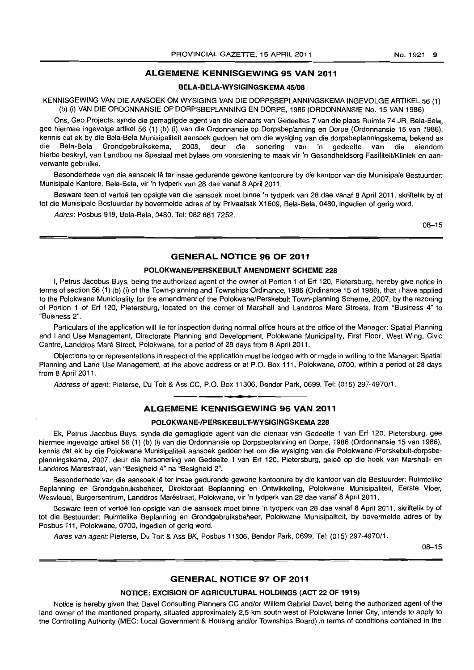#### No. 1921 9

# ALGEMENE KENNISGEWING 95 VAN 2011

#### BELA-BELA-WYSIGINGSKEMA 45/08

KENNISGEWING VAN DIE AANSOEK OM WYSIGING VAN DIE DORPSBEPLANNINGSKEMA INGEVOLGE ARTIKEL 56 (1) (b) (i) VAN DIE ORDONNANSIE OP DORPSBEPLANNING EN DORPE, 1986 (ORDONNANSIE No. 15 VAN 1986)

Ons, Geo Projects, synde die gemagtigde agent van die eienaars van Gedeeltes 7 van die plaas Ruimte 74 JR, Bela-Bela, gee hiermee ingevolge artikel 56 (1) (b) (i) van die Ordonnansie op Dorpsbeplanning en Dorpe (Ordonnansie 15 van 1986), kennis dat ek by die Bela-Bela Munisipaliteit aansoek gedoen het om die wysiging van die dorpsbeplanningskema, bekend as die Bela-Bela Grondgebruikskema, 2008, deur die sonering van 'n gedeelte van die eiendom hierbo beskryf, van Landbou na Spesiaal met bylaes om voorsiening te maak vir 'n Gesondheidsorg FasiliteitlKliniek en aanverwante gebruike.

Besonderhede van die aansoek Ie ter insae gedurende gewone kantoorure by die kantoor van die Munisipale Bestuurder: Munisipale Kantore, Bela-Bela, vir 'n tydperk van 28 dae vanaf 8 April 2011.

Besware teen of vertoë ten opsigte van die aansoek moet binne 'n tydperk van 28 dae vanaf 8 April 2011, skriftelik by of tot die Munisipale Bestuurder by bovermelde adres of by Privaatsak X1609, Bela-Bela, 0480, ingedien of gerig word.

Adres: Posbus 919, Bela-Bela, 0480. Tel: 082 881 7252.

08-15

### GENERAL NOTICE 96 OF 2011

#### POLOKWANE/PERSKEBULT AMENDMENT SCHEME 228

I, Petrus Jacobus Buys, being the authorized agent of the owner of Portion 1 of Erf 120, Pietersburg, hereby give notice in terms of section 56 (1) (b) (i) of the Town-planning and Townships Ordinance, 1986 (Qrdinance 15 of 1986), that I have applied to the Polokwane Municipality for the amendment of the Polokwane/Perskebult Town-planning Scheme, 2007, by the rezoning of Portion 1 of Erf 120, Pietersburg, located on the corner of Marshall and Landdros Mare Streets, from "Business 4" to "Business 2".

Particulars of the application will lie for inspection during normal office hours at the office of the Manager: Spatial Planning and Land Use Management, Directorate Planning and Development, Polokwane Municipality, First Floor, West Wing, Civic Centre, Landdros Maré Street, Polokwane, for a period of 28 days from 8 April 2011.

Objections to or representations in respect of the application must be lodged with or made in writing to the Manager: Spatial Planning and Land Use Management, at the above address or at P.O. Box 111, Polokwane, 0700, within a period of 28 days from 8 April 2011.

Address of agent: Pieterse, Du Toit & Ass CC, P.O. Box 11306, Bendor Park, 0699. Tel: (015) 297-4970/1.

### ALGEMENE KENNISGEWING 96 VAN 2011

**\* -**

#### POLOKWANE-/PERSKEBULT-WYSIGINGSKEMA 228

Ek, Petrus Jacobus Buys, synde die gemagtigde agent van die eienaar van Gedeelte 1 van Erf 120, Pietersburg, gee hiermee ingevolge artikel 56 (1) (b) (i) van die Ordonnansie op Dorpsbeplanning en Dorpe, 1986 (Ordonnansie 15 van 1986), kennis dat ek by die Polokwane Munisipaliteit aansoek gedoen het om die wysiging van die Polokwane-/Perskebult-dorpsbeplanningskema, 2007, deur die hersonering van Gedeelte 1 van Erf 120, Pietersburg, geleë op die hoek van Marshall- en Landdros Marestraat, van "Besigheid 4" na "Besigheid 2".

Besonderhede van die aansoek lê ter insae gedurende gewone kantoorure by die kantoor van die Bestuurder: Ruimtelike Beplanning en Grondgebruiksbeheer, Direktoraat Beplanning en Ontwikkeling, Polokwane Munisipaliteit, Eerste Vloer, Wesvleuel, Burgersentrum, Landdros Marestraat, Polokwane, vir 'n tydperk van 28 dae vanaf 8 April 2011.

Besware teen of vertoë ten opsigte van die aansoek moet binne 'n tydperk van 28 dae vanaf 8 April 2011, skriftelik by of tot die Bestuurder: Ruimtelike Beplanning en Grondgebruiksbeheer, Polokwane Munisipaliteit, by bovermelde adres of by Posbus 111, Polokwane, 0700, ingedien of gerig word.

Adres van agent: Pieterse, Du Toit & Ass BK, Posbus 11306, Bendor Park, 0699. Tel: (015) 297-4970/1.

08-15

## GENERAL NOTICE 97 OF 2011

#### NOTICE: EXCISION OF AGRICULTURAL HOLDINGS (ACT 22 OF 1919)

Notice is hereby given that Davel Consulting Planners CC and/or Willem Gabriel Davel, being the authorized agent of the land owner of the mentioned property, situated approximately 2,5 km south west of Polokwane Inner City, intends to apply to the Controlling Authority (MEC: Local Government & Housing and/or Townships Board) in terms of conditions contained in the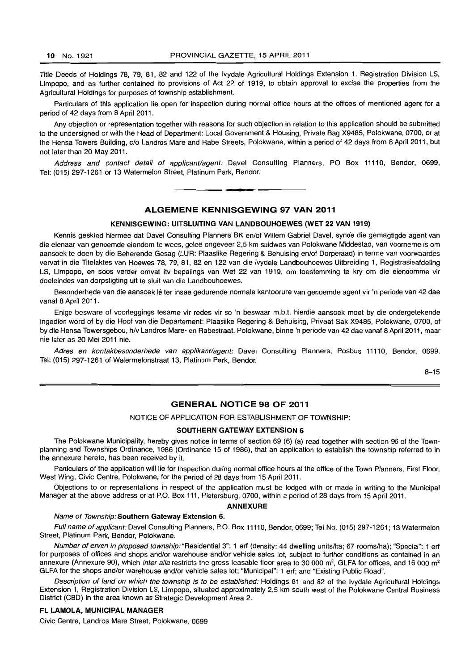Title Deeds of Holdings 78, 79, 81, 82 and 122 of the Ivydale Agricultural Holdings Extension 1, Registration Division LS, Limpopo, and as further contained ito provisions of Act 22 of 1919, to obtain approval to excise the properties from the Agricultural Holdings for purposes of township establishment.

Particulars of this application lie open for inspection during normal office hours at the offices of mentioned agent for a period of 42 days from 8 April 2011.

Any objection or representation together with reasons for such objection in relation to this application should be submitted to the undersigned or with the Head of Department: Local Government & Housing, Private Bag X9485, Polokwane, 0700, or at the Hensa Towers Building, c/o Landros Mare and Rabe Streets, Polokwane, within a period of 42 days from 8 April 2011, but not later than 20 May 2011.

Address and contact detail of applicant/agent: Davel Consulting Planners, PO Box 11110, Bendor, 0699, Tel: (015) 297-1261 or 13 Watermelon Street, Platinum Park, Bendor.

#### **ALGEMENE KENNISGEWING 97 VAN 2011**

**• •** 

#### **KENNISGEWING: UITSLUITING VAN LANDBOUHOEWES (WET 22 VAN 1919)**

Kennis geskied hiermee dat Davel Consulting Planners BK en/of Willem Gabriel Davel, synde die gemagtigde agent van die eienaar van genoemde eiendom te wees, gelee ongeveer 2,5 km suidwes van Polokwane Middestad, van voorneme is om aansoek te doen by die Beherende Gesag (LUR: Plaaslike Regering & Behuising en/of Dorperaad) in terme van voorwaardes vervat in die Titelaktes van Hoewes 78,79,81,82 en 122 van die Ivydale Landbouhoewes Uitbreiding 1, Registrasieafdeling LS, Limpopo, en soos verder omvat itv bepalings van Wet 22 van 1919, om toestemming te kry om die eiendomme vir doeleindes van dorpstigting uit te sluit van die Landbouhoewes.

Besonderhede van die aansoek lê ter insae gedurende normale kantoorure van genoemde agent vir 'n periode van 42 dae vanaf 8 April 2011.

Enige besware of voorleggings tesame vir redes vir so 'n beswaar m.b.t. hierdie aansoek moet by die ondergetekende ingedien word of by die Hoof van die Departement: Plaaslike Regering & Behuising, Privaat Sak X9485, Polokwane, 0700, of by die Hensa Towersgebou, h/v Landros Mare- en Rabestraat, Polokwane, binne 'n periode van 42 dae vanaf 8 April 2011 , maar nie later as 20 Mei 2011 nie.

Adres en kontakbesonderhede van applikant/agent: Davel Consulting Planners, Posbus 11110, Bendor, 0699. Tel: (015) 297-1261 of Watermelonstraat 13, Platinum Park, Bendor.

 $8 - 15$ 

### **GENERAL NOTICE 98 OF 2011**

NOTICE OF APPLICATION FOR ESTABLISHMENT OF TOWNSHIP:

# **SOUTHERN GATEWAY EXTENSION 6**

The Polokwane Municipality, hereby gives notice in terms of section 69 (6) (a) read together with section 96 of the Townplanning and Townships Ordinance, 1986 (Ordinance 15 of 1986), that an application to establish the township referred to in the annexure hereto, has been received by it.

Particulars of the application will lie for inspection during normal office hours at the office of the Town Planners, First Floor, West Wing, Civic Centre, Polokwane, for the period of 28 days from 15 April 2011.

Objections to or representations in respect of the application must be lodged with or made in writing to the Municipal Manager at the above address or at P.O. Box 111, Pietersburg, 0700, within a period of 28 days from 15 April 2011.

#### **ANNEXURE**

#### Name of Township: **Southern Gateway Extension** 6.

Full name of applicant: Davel Consulting Planners, P.O. Box 11110, Bendor, 0699; Tel No. (015) 297-1261; 13 Watermelon Street, Platinum Park, Bendor, Polokwane.

Number of erven in proposed township: "Residential 3": 1 erf (density: 44 dwelling units/ha; 67 rooms/ha); "Special": 1 erf for purposes of offices and shops and/or warehouse and/or vehicle sales lot, subject to further conditions as contained in an annexure (Annexure 90), which inter alia restricts the gross leasable floor area to 30 000  $m^2$ . GLFA for offices, and 16 000  $m^2$ GLFA for the shops and/or warehouse and/or vehicle sales lot; "Municipal": 1 ert; and "Existing Public Road".

Description of land on which the township is to be established: Holdings 81 and 82 of the Ivydale Agricultural Holdings Extension 1, Registration Division LS, Limpopo, situated approximately 2,5 km south west of the Polokwane Central Business District (CBD) in the area known as Strategic Development Area 2.

# **FL LAMOLA, MUNICIPAL MANAGER**

Civic Centre, Landros Mare Street, Polokwane, 0699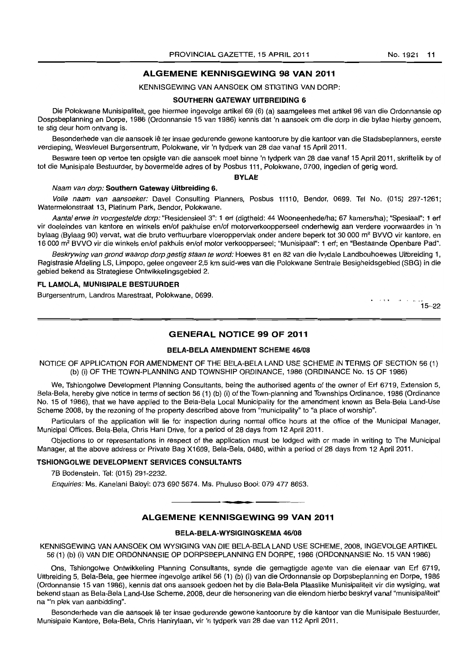### ALGEMENE KENNISGEWING 98 VAN 2011

KENNISGEWING VAN AANSOEK OM STIGTING VAN DORP:

#### SOUTHERN GATEWAY UITBREIDING 6

Die Polokwane Munisipaliteit, gee hiermee ingevolge artikel 69 (6) (a) saamgelees met artikel 96 van die Ordonnansie op Dospsbeplanning en Dorpe, 1986 (Ordonnansie 15 van 1986) kennis dat 'n aansoek om die dorp in die bylae hierby genoem, te stig deur hom ontvang is.

Besonderhede van die aansoek lê ter insae gedurende gewone kantoorure by die kantoor van die Stadsbeplanners, eerste verdieping, Wesvleuel Burgersentrum, Polokwane, vir 'n tydperk van 28 dae vanaf 15 April 2011.

Besware teen op vertoe ten opsigte van die aansoek moet binne 'n tydperk van 28 dae vanaf 15 April 2011, skriftelik by of tot die Munisipale Bestuurder, by bovermelde adres of by Posbus 111, Polokwane, 0700, ingedien of gerig word.

#### BYLAE

#### Naam van dorp: Southern Gateway Uitbreiding 6.

Volle naam van aansoeker: Davel Consulting Planners, Posbus 11110, Bendor, 0699. Tel No. (015) 297-1261; Watermelonstraat 13, Platinum Park, Bendor, Polokwane.

Aantal erwe in voorgestelde dorp: "Residensieel 3": 1 erf (digtheid: 44 Wooneenhede/ha; 67 kamers/ha): "Spesiaal": 1 erf vir doeleindes van kantore en winkels en/of pakhuise en/of motorverkoopperseel onderhewig aan verdere voorwaardes in 'n bylaag (Bylaag 90) vervat, wat die bruto verhuurbare vloeroppervlak onder andere beperk tot 30 000 m<sup>2</sup> BVVO vir kantore, en 16 000 m<sup>2</sup>BVVO vir die winkels en/of pakhuis en/of motor verkoopperseel; "Munisipaal": 1 ert; en "Bestaande Openbare Pad".

Beskrywing van grond waarop dorp gestig staan te word: Hoewes 81 en 82 van die Ivydale Landbouhoewes Uitbreiding 1, Registrasie Afdeling LS, Limpopo, gelee ongeveer 2,5 km suid-wes van die Polokwane Sentrale Besigheidsgebied (SBG) in die gebied bekend as Strategiese Ontwikkelingsgebied 2.

#### FL LAMOLA, MUNISIPALE BESTUURDER

Burgersentrum, Landros Marestraat, Polokwane, 0699.

يوادي والتعقب  $15 - 22$ 

# GENERAL NOTICE 99 OF 2011

#### BELA-BELA AMENDMENT SCHEME 46/08

NOTICE OF APPLICATION FOR AMENDMENT OF THE BELA-BELA LAND USE SCHEME IN TERMS OF SECTION 56 (1) (b) (i) OF THE TOWN-PLANNING AND TOWNSHIP ORDINANCE, 1986 (ORDINANCE No. 15 OF 1986)

We, Tshiongolwe Development Planning Consultants, being the authorised agents of the owner of Ert 6719, Extension 5, Bela-Bela, hereby give notice in terms of section 56 (1) (b) (i) of the Town-planning and Townships Ordinance, 1986 (Ordinance No. 15 of 1986), that we have applied to the Bela-Bela Local Municipality for the amendment known as Bela-Bela Land-Use Scheme 2008, by the rezoning of the property described above from "municipality" to "a place of worship".

Particulars of the application will lie for inspection during normal office hours at the office of the Municipal Manager, Municipal Offices, Bela-Bela, Chris Hani Drive, for a period of 28 days from 12 April 2011.

Objections to or representations in respect of the application must be lodged with or made in writing to The Municipal Manager, at the above address or Private Bag X1609, Bela-Bela, 0480, within a period of 28 days from 12 April 2011.

#### TSHIONGOLWE DEVELOPMENT SERVICES CONSULTANTS

7B Bodenstein. Tel: (015) 291-2232.

Enquiries: Ms. Kanelani Baloyi: 073 690 5674. Ms. Phuluso Booi: 079 477 8653. **-.** 

# ALGEMENE KENNISGEWING 99 VAN 2011

#### BELA-BELA-WYSIGINGSKEMA 46/08

KENNISGEWING VAN AANSOEK OM WYSIGING VAN DIE BELA-BELA LAND USE SCHEME, 2008, INGEVOLGE ARTIKEL 56 (1) (b) (i) VAN DIE ORDONNANSIE OP DORPSBEPLANNING EN DORPE, 1986 (ORDONNANSIE No. 15 VAN 1986)

Ons, Tshiongolwe Ontwikkeling Planning Consultants, synde die gemagtigde agente van die eienaar van Ert 6719, Uitbreiding 5, Bela-Bela, gee hiermee ingevolge artikel 56 (1) (b) (i) van die Ordonnansie op Dorpsbeplanning en Dorpe, 1986 (Ordonnansie 15 van 1986), kennis dat ons aansoek gedoen het by die Bela-Bela Plaaslike Munisipaliteit vir die wysiging, wat bekend staan as Bela-Bela Land-Use Scheme, 2008, deur die hersonering van die eiendom hierbo beskryf vanaf "munisipaliteit" na "n plek van aanbidding".

Besonderhede van die aansoek lê ter insae gedurende gewone kantoorure by die kantoor van die Munisipale Bestuurder, Munisipale Kantore, Bela-Bela, Chris Hanirylaan, vir 'n tydperk van 28 dae van 112 April 2011.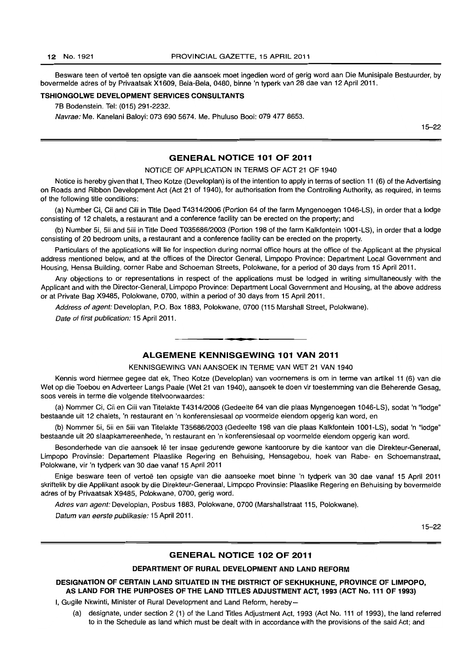Besware teen of vertoë ten opsigte van die aansoek moet ingedien word of gerig word aan Die Munisipale Bestuurder, by bovermelde adres of by Privaatsak X1609, Bela-Bela, 0480, binne 'n typerk van 28 dae van 12 April 2011.

#### TSHIONGOLWE DEVELOPMENT SERVICES CONSULTANTS

7B Bodenstein. Tel: (015) 291-2232.

Navrae: Me. Kanelani Baloyi: 073 690 5674. Me. Phuluso Booi: 079 477 8653.

15-22

# GENERAL NOTICE 101 OF 2011

#### NOTICE OF APPLICATION IN TERMS OF ACT 21 OF 1940

Notice is hereby given that I, Theo Kotze (Developlan) is of the intention to apply in terms of section 11 (6) of the Advertising on Roads and Ribbon Development Act (Act 21 of 1940), for authorisation from the Controlling Authority, as required, in terms of the following title conditions:

(a) Number Ci, Cii and Ciii in Title Deed T4314/2006 (Portion 64 of the farm Myngenoegen 1046-LS), in order that a lodge consisting of 12 chalets, a restaurant and a conference facility can be erected on the property; and

(b) Number 5i, 5ii and 5iii in Title Deed T035686/2003 (Portion 198 of the farm Kalkfontein 1001-LS), in order that a lodge consisting of 20 bedroom units, a restaurant and a conference facility can be erected on the property.

Particulars of the applications will lie for inspection during normal office hours at the office of the Applicant at the physical address mentioned below, and at the offices of the Director General, Limpopo Province: Department Local Government and Housing, Hensa Building, corner Rabe and Schoeman Streets, Polokwane, for a period of 30 days from 15 April 2011.

Any objections to or representations in respect of the applications must be lodged in writing simultaneously with the Applicant and with the Director-General, Limpopo Province: Department Local Government and Housing, at the above address or at Private Bag X9485, Polokwane, 0700, within a period of 30 days from 15 April 2011.

Address of agent: Developlan, P.O. Box 1883, Polokwane, 0700 (115 Marshall Street, Polokwane).

Date of first publication: 15 April 2011.

# ALGEMENE KENNISGEWING 101 VAN 2011

. **- .** 

#### KENNISGEWING VAN AANSOEK IN TERME VAN WET 21 VAN 1940

Kennis word hiermee gegee dat ek, Theo Kotze (Developlan) van voornemens is om in terme van artikel 11 (6) van die Wet op die Toebou en Adverteer Langs Paaie (Wet 21 van 1940), aansoek te doen vir toestemming van die Beherende Gesag, soos vereis in terme die volgende titelvoorwaardes:

(a) Nommer Ci. Cii en Ciii van Titelakte T4314/2006 (Gedeelte 64 van die plaas Myngenoegen 1046-LS), sodat 'n "lodge" bestaande uit 12 chalets, 'n restaurant en 'n konferensiesaal op voormelde eiendom opgerig kan word, en

(b) Nommer 5i, 5ii en 5iii van Titelakte T35686/2003 (Gedeelte 198 van die plaas Kalkfontein 1001-LS), sodat 'n "lodge" bestaande uit 20 slaapkamereenhede, 'n restaurant en 'n konferensiesaal op voormelde eiendom opgerig kan word.

Besonderhede van die aansoek lê ter insae gedurende gewone kantoorure by die kantoor van die Direkteur-Generaal, Limpopo Provinsie: Departement Plaaslike Regering en Behuising, Hensagebou, hoek van Rabe- en Schoemanstraat, Polokwane, vir 'n tydperk van 30 dae vanaf 15 April 2011

Enige besware teen of vertoë ten opsigte van die aansoeke moet binne 'n tydperk van 30 dae vanaf 15 April 2011 skriftelik by die Applikant asook by die Direkteur-Generaal, Limpopo Provinsie: Plaaslike Regering en Behuising by bovermelde adres of by Privaatsak X9485, Polokwane, 0700, gerig word.

Adres van agent: Developlan, Posbus 1883, Polokwane, 0700 (Marshallstraat 115, Polokwane).

Datum van eerste publikasie: 15 April 2011.

15-22

# GENERAL NOTICE 102 OF 2011

#### DEPARTMENT OF RURAL DEVELOPMENT AND LAND REFORM

### DESIGNATION OF CERTAIN LAND SITUATED IN THE DISTRICT OF SEKHUKHUNE, PROVINCE OF LIMPOPO, AS LAND FOR THE PURPOSES OF THE LAND TITLES ADJUSTMENT ACT, 1993 (ACT No. 111 OF 1993)

I, Gugile Nkwinti, Minister of Rural Development and Land Reform, hereby-

(a) designate, under section 2 (1) of the Land Titles Adjustment Act, 1993 (Act No. 111 of 1993), the land referred to in the Schedule as land which must be dealt with in accordance with the provisions of the said Act; and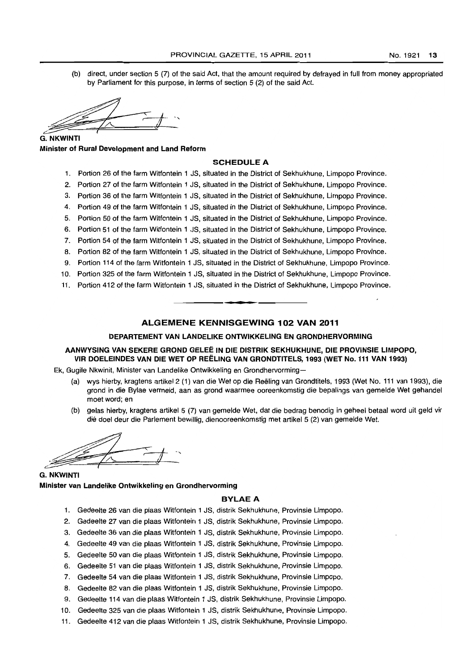(b) direct, under section 5 (7) of the said Act, that the amount required by defrayed in full from money appropriated by Parliament for this purpose, in terms of section 5 (2) of the said Act.

 $\frac{2}{\sqrt{7}}$  NKWINTI

**G. NKWINTI** Minister of Rural Development and land Reform

#### SCHEDULE A

- 1. Portion 26 of the farm Witfontein 1 JS, situated in the District of Sekhukhune, Limpopo Province.
- 2. Portion 27 of the farm Witfontein 1 JS, situated in the District of Sekhukhune, Limpopo Province.
- 3. Portion 36 of the farm Witfontein 1 JS, situated in the District of Sekhukhune, Limpopo Province.
- 4. Portion 49 of the farm Witfontein 1 JS, situated in the District of Sekhukhune, Limpopo Province.
- S. Portion 50 of the farm Witfontein 1 JS, situated in the District of Sekhukhune, Limpopo Province.
- 6. Portion 51 of the farm Witfontein 1 JS, situated in the District of Sekhukhune, Limpopo Province.
- 7. Portion 54 of the farm Witfontein 1 JS, situated in the District of Sekhukhune, Limpopo Province.
- 8. Portion 82 of the farm Witfontein 1 JS, situated in the District of Sekhukhune, Limpopo Province.
- 9. Portion 114 of the farm Witfontein 1 JS, situated in the District of Sekhukhune, Limpopo Province.
- 10. Portion 32S of the farm Witfontein 1 JS, situated in the District of Sekhukhune, Limpopo Province.
- 11. Portion 412 of the farm Witfontein 1 JS, situated in the District of Sekhukhune, Limpopo Province . . **-.**

#### ALGEMENE KENNISGEWING 102 VAN 2011

#### DEPARTEMENT VAN lANDELIKE ONTWIKKELING EN GRONDHERVORMING

### AANWYSING VAN SEKERE GROND GELEE IN DIE DISTRIK SEKHUKHUNE, DIE PROVINSIE LIMPOPO, VIR DOELEINDES VAN DIE WET OP REELING VAN GRONDTITELS, 1993 (WET No. 111 VAN 1993)

Ek, Gugile Nkwinit, Minister van Landelike Ontwikkeling en Grondhervorming-

- (a) wys hierby, kragtens artikel2 (1) van die Wet op die Reeling van Grondtitels, 1993 (Wet No. 111 van 1993), die grond in die Bylae vermeld, aan as grond waarmee ooreenkomstig die bepalings van gemelde Wet gehandel moet word; en
- (b) gelas hierby, kragtens artikel 5 (7) van gemelde Wet, dat die bedrag benodig in geheel betaal word uit geld vir die doel deur die Parlement bewillig, dienooreenkomstig met artikel 5 (2) van gemelde Wet.

 $\frac{1}{\sqrt{2}}$ 

G. NKWINTI Minister van Landelike Ontwikkeling en Grondhervorming

#### **BYLAE A**

- 1. Gedeelte 26 van die plaas Witfontein 1 JS, distrik Sekhukhune, Provinsie Limpopo.
- 2. Gedeelte 27 van die plaas Witfontein 1 JS, distrik Sekhukhune, Provinsie Limpopo.
- 3. Gedeelte 36 van die plaas Witfontein 1 JS, distrik Sekhukhune, Provinsie Limpopo.
- 4. Gedeelte 49 van die plaas Witfontein 1 JS, distrik Sekhukhune, Provinsie Limpopo.
- S. Gedeelte 50 van die plaas Witfontein 1 JS, distrik Sekhukhune, Provinsie Limpopo.
- 6. Gedeelte 51 van die plaas Witfontein 1 JS, distrik Sekhukhune, Provinsie Limpopo.
- 7. Gedeelte 54 van die plaas Witfontein 1 JS, distrik Sekhukhune, Provinsie Limpopo.
- 8. Gedeelte 82 van die plaas Witfontein 1 JS, distrik Sekhukhune, Provinsie Limpopo.
- 9. Gedeelte 114 van die plaas Witfontein 1 JS, distrik Sekhukhune, Provinsie Limpopo.
- 10. Gedeelte 325 van die plaas Witfontein 1 JS, distrik Sekhukhune, Provinsie Limpopo.
- 11. Gedeelte 412 van die plaas Witfontein 1 JS, distrik Sekhukhune, Provinsie Limpopo.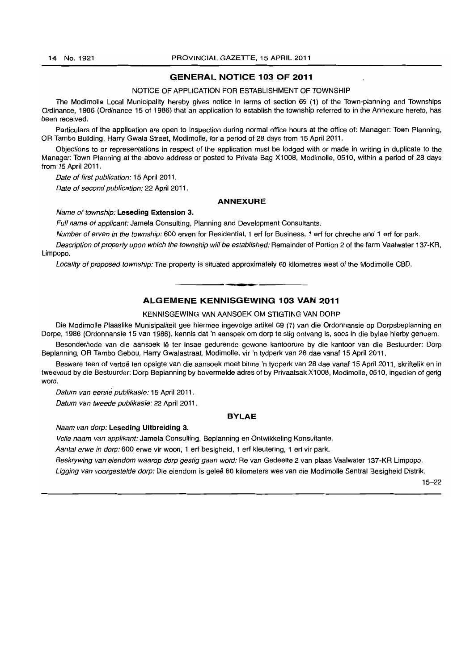# **GENERAL NOTICE 103 OF 2011**

#### NOTICE OF APPLICATION FOR ESTABLISHMENT OF TOWNSHIP

The Modimolle Local Municipality hereby gives notice in terms of section 69 (1) of the Town-planning and Townships Ordinance, 1986 (Ordinance 15 of 1986) thar an application to establish the township referred to in the Annexure hereto, has been received.

Particulars of the application are open to inspection during normal office hours at the office of: Manager: Town Planning, OR Tambo Building, Harry Gwala Street, Modimolle, for a period of 28 days from 15 April 2011.

Objections to or representations in respect of the application must be lodged with or made in writing in duplicate to the Manager: Town Planning at the above address or posted to Private Bag X1008, Modimolle, 0510, within a period of 28 days from 15 April 2011.

Date of first publication: 15 April 2011.

Date of second publication: 22 April 2011.

#### **ANNEXURE**

#### Name of township: **Leseding Extension 3.**

Full name of applicant: Jamela Consulting, Planning and Development Consultants.

Number of erven in the township: 600 erven for Residential, 1 ert for Business, 1 ert for chreche and 1 ert for park.

Description of property upon which the township will be established: Remainder of Portion 2 of the farm Vaalwater 137-KR, Limpopo.

Locality of proposed township: The property is situated approximately 60 kilometres west of the Modimolle CBD.

# **- . ALGEMENE KENNISGEWING 103 VAN 2011**

#### KENNISGEWING VAN AANSOEK OM STIGTING VAN DORP

Die Modimolle Plaaslike Munisipaliteit gee hiermee ingevolge artikel 69 (1) van die Ordonnansie op Dorpsbeplanning en Dorpe, 1986 (Ordonnansie 15 van 1986), kennis dat 'n aansoek om dorp te stlg ontvang is, soos in die bylae hierby genoem.

Besonderhede van die aansoek lê ter insae gedurende gewone kantoorure by die kantoor van die Bestuurder: Dorp Beplanning, OR Tambo Gebou, Harry Gwalastraat, Modimolle, vir 'n tydperk van 28 dae vanaf 15 April 2011.

Besware teen of vertoë ten opsigte van die aansoek moet binne 'n tydperk van 28 dae vanaf 15 April 2011, skriftelik en in tweevoud by die Bestuurder: Dorp Beplanning by bovermelde adres of by Privaatsak Xi 008, Modimolle, 0510, ingedien of gerig word.

Datum van eerste publikasie: 15 April 2011.

Datum van tweede publikasie: 22 April 2011.

#### **BYLAE**

Naam van dorp: **Leseding Uitbreiding** 3.

Volle naam van applikant: Jamela Consulting, Beplanning en Ontwikkeling Konsultante.

Aantal erwe in dorp: 600 erwe vir woon, 1 erf besigheid, 1 erf kleutering, 1 erf vir park.

Beskrywing van eiendom waarop dorp gestig gaan word: Re van Gedeelte 2 van plaas Vaalwater 137 -KR Limpopo.

Ligging van voorgestelde dorp: Die eiendom is geleë 60 kilometers wes van die Modimolle Sentral Besigheid Distrik.

15-22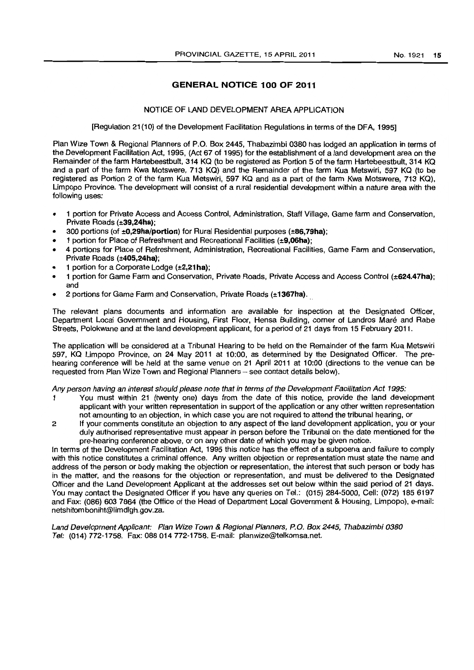# **GENERAL NOTICE 100 OF 2011**

#### NOTICE OF LAND DEVELOPMENT AREA APPLICATION

[Regulation 21(10) of the Development Facilitation Regulations in terms of the DFA, 1995]

Plan Wize Town & Regional Planners of P.O. Box 2445, Thabazimbi 0380 has lodged an application in terms of the Development Facilitation Act, 1995, (Act 67 of 1995) for the establishment of a land development area on the Remainder of the farm Hartebeestbult, 314 KQ (to be registered as Portion 5 of the farm Hartebeestbult, 314 KQ and a part of the farm Kwa Motswere, 713 KQ) and the Remainder of the farm Kua Metswiri, 597 KQ (to be registered as Portion 2 of the farm Kua Metswiri, 597 KQ and as a part of the farm Kwa Motswere, 713 KQ), Limpopo Province. The development will consist of a rural residential development within a nature area with the following uses:

- 1 portion for Private Access and Access Control, Administration, Staff Village, Game farm and Conservation, Private Roads (±39,24ha);
- 300 portions (of  $\pm 0.29$ ha/portion) for Rural Residential purposes ( $\pm 86,79$ ha);
- 1 portion for Place of Refreshment and Recreational Facilities (±9,06ha);
- 4 portions for Place of Refreshment, Administration, Recreational Facilities, Game Farm and Conservation, Private Roads (±405,24ha);
- 1 portion for a Corporate Lodge (±2.21ha);
- 1 portion for Game Farm and Conservation, Private Roads, Private Access and Access Control (±624.47ha); and
- 2 portions for Game Farm and Conservation, Private Roads (±1367ha).

The relevant plans documents and information are available for inspection at the Designated Officer, Department Local Government and Housing, First Floor, Hensa Building, corner of Landros Mare and Rabe Streets, Polokwane and at the land development applicant, for a period of 21 days from 15 February 2011.

The application will be considered at a Tribunal Hearing to be held on the Remainder of the farm Kua Metswiri 597, KQ Limpopo Province, on 24 May 2011 at 10:00, as determined by the Designated Officer. The prehearing conference will be held at the same venue on 21 April 2011 at 10:00 (directions to the venue can be requested from Plan Wize Town and Regional Planners - see contact details below).

Any person having an interest should please note that in terms of the Development Facilitation Act 1995:

- You must within 21 (twenty one) days from the date of this notice, provide the land development applicant with your written representation in support of the application or any other written representation not amounting to an objection, in which case you are not required to attend the tribunal hearing. or
- 2 If your comments constitute an objection to any aspect of the land development application, you or your duly authorised representative must appear in person before the Tribunal on the date mentioned for the pre-hearing ccnference above, or on any other date of which you may be given notice.

In terms of the Development Facilitation Act, 1995 this notice has the effect of a subpoena and failure to comply with this notice constitutes a criminal offence. Any written objection or representation must state the name and address of the person or body making the objection or representation, the interest that such person or body has in the matter, and the reasons for the objection or representation, and must be delivered to the Designated Officer and the Land Development Applicant at the addresses set out below within the said period of 21 days. You may contact the Designated Officer if you have any queries on Tel.: (015) 284-5000, Cell: (072) 1856197 and Fax: (086) 603 7864 (the Office of the Head of Department Local Government & Housing, Limpopo), e-mail: netshitomboniht@limdlgh.gov.za.

Land Development Applicant: Plan Wize Town & Regional Planners, P.O. Box 2445, Thabazimbi 0380 Tel: (014) 772-1758. Fax: 088014772-1758. E-mail: planwize@telkomsa.net.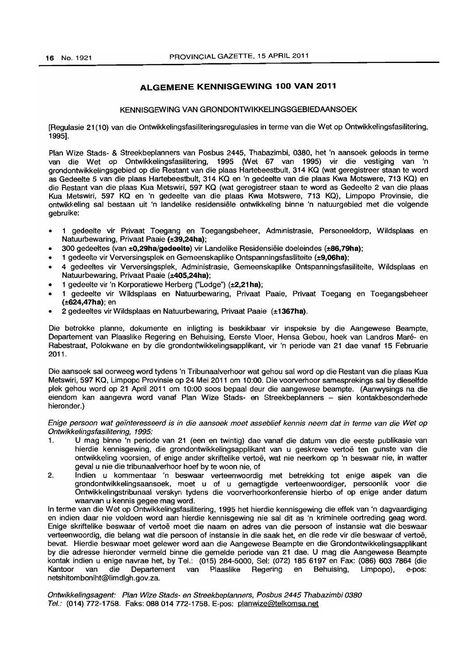# **ALGEMENE KENNISGEWING 100 VAN 2011**

#### KENNISGEWING VAN GRONDONTWIKKELINGSGEBIEDAANSOEK

[Regulasie 21 (10) van die Ontwikkelingsfasiliteringsregulasies in terme van die Wet op Ontwikkelingsfasilitering, 1995].

Plan Wize Stads- & Streekbeplanners van Posbus 2445, Thabazimbi, 0380, het 'n aansoek geloods in terme van die Wet op Ontwikkelingsfasilitering, 1995 (Wet 67 van 1995) vir die vestiging van 'n grondontwikkelingsgebied op die Restant van die plaas Hartebeestbult, 314 KO (wat geregistreer staan te word as Gedeelte 5 van die plaas Hartebeestbult, 314 KO en 'n gedeelte van die plaas Kwa Motswere, 713 KO) en die Restant van die plaas Kua Metswiri, 597 KO (wat geregistreer staan te word as Gedeelte 2 van die plaas Kua Metswiri. 597 KO en 'n gedeelte van die plaas Kwa Motswere. 713 KO), Limpopo Provinsie, die ontwikkeling sal bestaan uit 'n landelike residensiele ontwikkeling binne 'n natuurgebied met die volgende gebruike:

- 1 gedeelte vir Privaat Toegang en Toegangsbeheer. Administrasie, Personeeldorp, Wildsplaas en Natuurbewaring, Privaat Paaie (±39,24ha);
- 300 gedeeltes (van ±0,29ha/gedeelte) vir Landelike Residensiële doeleindes (±86,79ha);
- 1 gedeelte vir Verversingsplek en Gemeenskaplike Ontspanningsfasiliteite (±9,06ha);
- 4 gedeeltes vir Verversingsplek, Administrasie, Gemeenskaplike Ontspanningsfasiliteite, Wildsplaas en Natuurbewaring, Privaat Paaie (±405,24ha);
- 1 gedeelte vir 'n Korporatiewe Herberg ("Lodge") (±2,21 hal;
- 1 gedeelte vir Wildsplaas en Natuurbewaring, Privaat Paaie. Privaat Toegang en Toegangsbeheer (±624,47ha); en
- 2 gedeeltes vir Wildsplaas en Natuurbewaring. Privaat Paaie (±1367ha).

Die betrokke planne, dokumente en inligting is beskikbaar vir inspeksie by die Aangewese Beampte, Departement van Plaaslike Regering en Behuising, Eerste Vloer, Hensa Gebou, hoek van Landros Mare- en Rabestraat, Polokwane en by die grondontwikkelingsapplikant, vir 'n periode van 21 dae vanaf 15 Februarie 2011.

Die aansoek sal oorweeg word tydens 'n Tribunaalverhoor wat gehou sal word op die Restant van die plaas Kua Metswiri, 597 KO, Limpopo Provinsie op 24 Mei 2011 om 10:00. Die voorverhoor samesprekings sal by dieselfde plek gehou word op 21 April 2011 om 10:00 soos bepaal deur die aangewese beampte. (Aanwysings na die eiendom kan aangevra word vanaf Plan Wize Stads- en Streekbeplanners - sien kontakbesonderhede hieronder.)

Enige persoon wat geinteresseerd is in die aansoek moet asseblief kennis neem dat in terme van die Wet op Ontwikkelingsfasilitering, 1995:

- 1. U mag binne 'n periode van 21 (een en twintig) dae vanaf die datum van die eerste publikasie van hierdie kennisgewing. die grondontwikkelingsapplikant van u geskrewe vertoe ten gunste van die ontwikkeling voorsien, of enige ander skriftelike vertoe, wat nie neerkom op 'n beswaar nie, in watter geval u nie die tribunaalverhoor hoef by te woon nie, of
- 2. Indien u kommentaar 'n beswaar verteenwoordig met betrekking tot enige aspek van die grondontwikkelingsaansoek. moet u of u gemagtigde verteenwoordiger, persoonlik voor die Ontwikkelingstribunaal verskyn tydens die voorverhoorkonferensie hierbo of op enige ander datum waarvan u kennis gegee mag word.

In terme van die Wet op Ontwikkelingsfasilitering, 1995 het hierdie kennisgewing die effek van 'n dagvaardiging en indien daar nie voldoen word aan hierdie kennisgewing nie sal dit as 'n kriminele oortreding geag word. Enige skriftelike beswaar of vertoe moet die naam en adres van die persoon of instansie wat die beswaar verteenwoordig. die belang wat die persoon of instansie in die saak het, en die rede vir die beswaar of vertoe, bevat. Hierdie beswaar moet gelewer word aan die Aangewese Beampte en die Grondontwikkelingsapplikant by die adresse hieronder vermeld binne die gemelde periode van 21 dae. U mag die Aangewese Beampte kontak indien u enige navrae het, by Tel.: (015) 284-5000, Sel: (072) 1856197 en Fax: (086) 6037864 (die Kantoor van die Departement van Plaaslike Regering en Behuising, Limpopo), e-pos: netshitomboniht@limdlgh.gov.za.

Ontwikkelingsagent: Plan Wize Stads- en Streekbeplanners, Posbus 2445 Thabazimbi *0380*  Tel.: (014) 772-1758. Faks: 088 014 772-1758. E-pos: planwize@telkomsa.net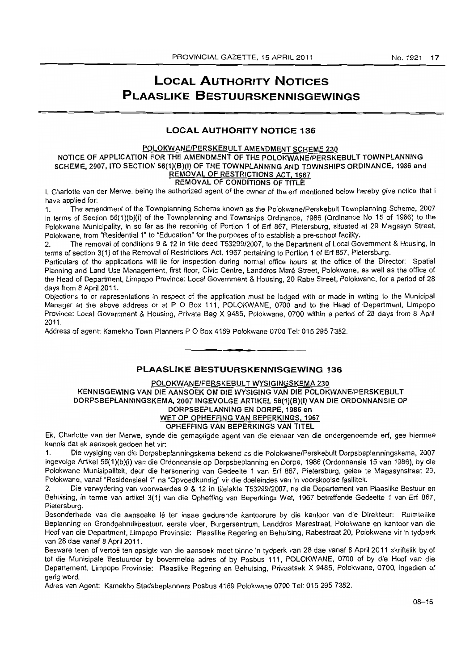# **LOCAL AUTHORITY NOTICES PLAASLIKE BESTUURSKENNISGEWINGS**

# **LOCAL AUTHORITY NOTICE 136**

#### POLOKWANE/PERSKEBULT AMENDMENT SCHEME 230

#### NOTICE OF APPLICATION FOR THE AMENDMENT OF THE POLOKWANE/PERSKEBULT TOWN PLANNING SCHEME, 2007, ITO SECTION 56(1)(B)(I) OF THE TOWNPLANNING AND TOWNSHIPS ORDINANCE, 1986 and REMOVAL OF RESTRICTIONS ACT, 1967

# REMOVAL OF CONDITIONS OF TITLE

t. Charlotte van der Merwe, being the authorized agent of the owner of the erf mentioned below hereby give notice that I have applied for:

1. The amendment of the Townplanning Scheme known as the Polokwane/Perskebult Townplanning Scheme, 2007 in terms of Section 56(1)(b)(i) of the Townplanning and Townships Ordinance, 1986 (Ordinance No 15 of 1986) to the Polokwane Municipality, in so far as the rezoning of Portion 1 of Erf 867. Pietersburg. situated at 29 Magasyn Street, Polokwane. from "Residential 1" to "Education" for the purposes of to establish a pre-school facility.

2. The removal of conditions 9 & 12 in title deed *T53299/2007.* to the Department of Local Government & Housing, in terms of section 3{ 1) of the Removal of Restrictions Act, 1967 pertaining to Portion 1 of Erf 867, Pietersburg.

Particulars of the applications will lie for inspection during normal office hours at the office of the Director: Spatial Planning and Land Use Management, first floor, Civic Centre, Landdros Mare Street. Polokwane, as well as the office of the Head of Department, Limpopo Province: Local Government & Housing, 20 Rabe Street, Polokwane, for a period of 28 days from 8 April 2011.

Objections to or representations in respect of the application must be lodged with or made in writing to the Municipal Manager at the above address or at P O Box 111, POLOKWANE, 0700 and to the Head of Department, Limpopo Province: Local Government & Housing, Private Bag X 9485, Polokwane, 0700 within a period of 28 days from 8 April 2011.

Address of agent: Kamekho Town Planners P O Box 4169 Polokwane 0700 Tel: 015 295 7382. . **-.** 

# **PLAASLIKE BESTUURSKENNISGEWING 136**

### POLOKWANE/PERSKEBULT WYSIGINGSKEMA 230 KENNISGEWING VAN DIE AANSOEK OM DIE WYSIGING VAN DIE POLOKWANE/PERSKEBULT DORPSBEPLANNINGSKEMA, 20071NGEVOLGE ARTIKEL 56(1)(B}(I) VAN DIE ORDONNANSIE OP DORPSBEPLANNING EN DORPE, 1986 en WET OP OPHEFFING VAN BEPERKINGS, 1967

#### OPHEFFING VAN BEPERKINGS VAN TITEL

Ek, Charlotte van der Merwe, synde die gemagtigde agent van die eienaar van die ondergenaemde erf, gee hiermee kennis dat ek aansoek gedoen het vir:

1. Die wysiging van die Dorpsbeplanningskema bekend as die Polokwane!Perskebult Dorpsbeplanningskema, 2007 ingevolge Artikel 56{1 )(b)(i) van die Ordonnansie op Dorpsbeplanning en Dorpe, 1986 (Ordonnansie 15 van 1986). by die Polokwane Munisipaliteit, deur die hersonering van Gedeelte 1 van Erf 867. Pietersburg. gelee te Magasynstraat 29, Polokwane. vanaf "ResidensieeI1" na "Opvaedkundig" vir die doeleindes van 'n voorskoolse fasiliteit.

2. Die verwydering van voorwaardes 9 & 12 in titelakte *T53299/2007.* na die Departement van Plaaslike Bestuur en Behuising, in terme van artikel 3(1) van die Opheffing van 8eperkings Wet. 1967 betreffende Gedeelte 1 van Erf 867, Pietersburg.

Besonderhede van die aansoeke Iê ter insae gedurende kantoorure by die kantoor van die Direkteur: Ruimtelike Beplanning en Grondgebruikbestuur, eerste vloer, Burgersentrum. Landdros Marestraat. Polokwane en kantoor van die Hoof van die Department, Limpopo Provinsie: Plaaslike Regering en Behuising, Rabestraat 20, Polokwane vir 'n tydperk van 28 dae vanaf 8 April 2011.

Besware teen of vertoë ten opsigte van die aansoek moet binne 'n tydperk van 28 dae vanaf 8 April 2011 skriftelik by of tot die Munisipale Bestuurder by bovermelde adres of by Posbus 111, POLOKW ANE, 0700 of by die Hoof van die Departement, Limpopo Provinsie: Plaaslike Regering en Behuising, Privaatsak X 9485, Polokwane, 0700, ingedien of gerig word.

Adres van Agent: Kamekho Stadsbeplanners Posbus 4169 Polokwane 0700 Tel: 015 295 7382.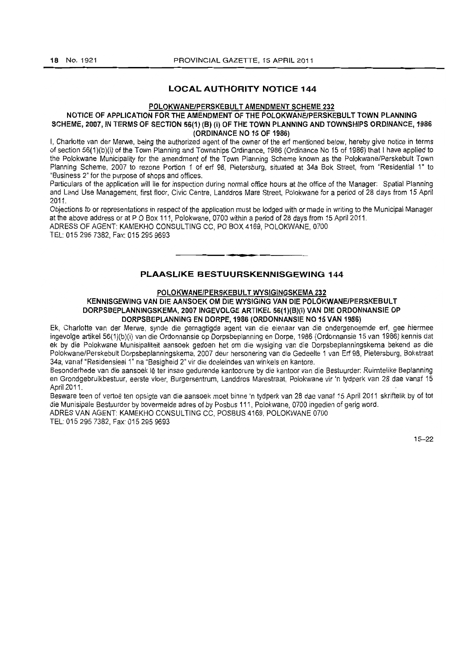# **LOCAL AUTHORITY NOTICE 144**

#### POLOKWANE/PERSKEBULT AMENDMENT SCHEME 232

#### NOTICE OF APPLICATION FOR THE AMENDMENT OF THE POLOKWANE/PERSKEBULT TOWN PLANNING **SCHEME, 2007, IN TERMS OF SECTION 56(1) (B) (i) OF THE TOWN PLANNING AND TOWNSHIPS ORDINANCE, 1986 (ORDINANCE NO 15 OF 1986)**

I, Charlotte van der Merwe, being the authorized agent of the owner of the erf mentioned below, hereby give notice in terms of section 56(1)(b)(i) of the Town Planning and Townships Ordinance, 1986 (Ordinance No 15 of 1986) that I have applied to the Polokwane MuniCipality for the amendment of the Town Planning Scheme known as the Polokwane/Perskebult Town Planning Scheme, 2007 to rezone Portion 1 of erf 98, Pietersburg, situated at 34a Bok Street, from "Residential 1" to "Business 2" for the purpose of shops and offices.

Particulars of the application will lie for inspection during normal office hours at the office of the Manager: Spatial Planning and Land Use Management, first floor, Civic Centre, Landdros Mare Street, Polokwane for a period of 28 days from 15 April 2011.

Objections to or representations in respect of the application must be lodged with or made in writing to the Municipal Manager at the above address or at P O Box 111, Polokwane, 0700 within a period of 28 days from 15 April 2011.

ADRESS OF AGENT: KAMEKHO CONSULTING CC, PO BOX 4169, POLOKWANE, 0700 TEL: 015 295 7382, Fax: 015 295 9693 **-.** 

# **PLAASLIKE BESTUURSKENNISGEWING 144**

#### **POLOKWANE/PERSKEBULT WYSIGINGSKEMA 232**

**KENNISGEWING VAN DIE AANSOEK OM DIE WYSIGING VAN DIE POLOKWANE/PERSKEBULT DORPSBEPLANNINGSKEMA, 20071NGEVOLGE ARTIKEL 56(1)(B)(i) VAN DIE ORDONNANSIE OP DORPSBEPLANNING EN DORPE, 1986 (ORDONNANSIE NO 15 VAN 1986)** 

Ek, Charlotte van der Merwe, synde die gemagtigde agent van die eienaar van die ondergenoemde erf, gee hiermee ingevolge artikeI56(1)(b)(i) van die Ordonnansie op Dorpsbeplanning en Dorpe, 1986 (Ordonnansie 15 van 1986) kennis dat ek by die Polokwane Munisipaliteit aansoek gedoen het om die wysiging van die Dorpsbeplanningskema bekend as die Polokwane/Perskebult Dorpsbeplanningskema, 2007 deur hersonering van die Gedeelte 1 van Erf 98, Pietersburg, Bokstraat 34a, vanaf "Residensieel 1" na "Besigheid 2" vir die doeleindes van winkels en kantore.

Besonderhede van die aansoek lê ter insae gedurende kantoorure by die kantoor van die Bestuurder: Ruimtelike Beplanning en Grondgebruikbestuur, eerste vloer, Burgersentrum, Landdros Marestraat, Polokwane vir 'n tydperk van 28 dae vanaf 15 April 2011.

Besware teen of vertoë ten opsigte van die aansoek moet binne 'n tydperk van 28 dae vanaf 15 April 2011 skriftelik by of tot die Munisipale Bestuurder by bovermelde adres of by Posbus 111, Polokwane, 0700 ingedien of gerig word. ADRES VAN AGENT: KAMEKHO CONSULTING CC, POSBUS 4169, POLOKWANE 0700

TEL: 015 295 7382, Fax: 0152959693

15-22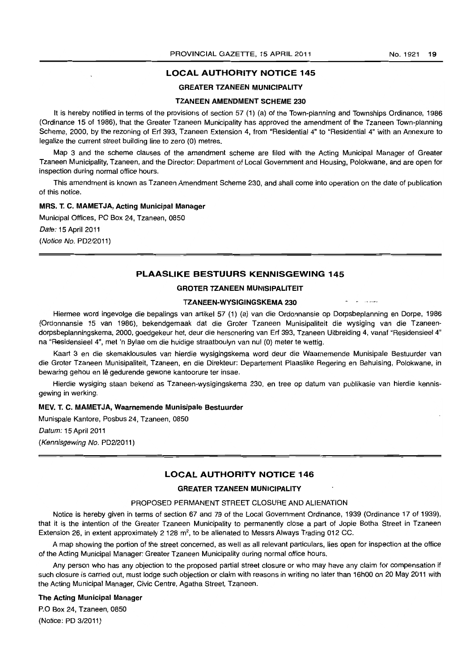#### LOCAL AUTHORITY NOTICE 145

### GREATER TZANEEN MUNICIPALITY

#### TZANEEN AMENDMENT SCHEME 230

It is hereby notified in terms of the provisions of section 57 (1) (a) of the Town-planning and Townships Ordinance, 1986 (Ordinance 15 of 1986), that the Greater Tzaneen Municipality has approved the amendment of the Tzaneen Town-planning Scheme, 2000, by the rezoning of Erf 393, Tzaneen Extension 4, from "Residential 4" to "Residential 4" with an Annexure to legalize the current street building line to zero (0) metres.

Map 3 and the scheme clauses of the amendment scheme are filed with the Acting Municipal Manager of Greater Tzaneen Municipality, Tzaneen, and the Director: Department of Local Government and Housing, Polokwane, and are open for inspection during normal office hours.

This amendment is known as Tzaneen Amendment Scheme 230, and shall come into operation on the date of publication of this notice.

#### MRS. T. C. MAMETJA, Acting Municipal Manager

Municipal Offices, PO Box 24, Tzaneen, 0850

Date: 15 April 2011

(Notice No. PD2I2011)

#### PLAASLIKE BESTUURS KENNISGEWING 145

#### GROTER TZANEEN MUNISIPALITEIT

#### TZANEEN-WYSIGINGSKEMA 230

Hiermee word ingevolge die bepalings van artikel 57 (1) (a) van die Ordonnansie op Dorpsbeplanning en Dorpe, 1986 (Ordonnansie 15 van 1986), bekendgemaak dat die Groter Tzaneen Munisipaliteit die wysiging van die Tzaneendorpsbeplanningskema, 2000, goedgekeur het, deur die hersonering van Erf 393, Tzaneen Uitbreiding 4, vanaf "Residensieel 4" na "Residensieel 4", met 'n Bylae om die huidige straatboulyn van nul (0) meter te wettig.

Kaart 3 en die skemaklousules van hierdie wysigingskema word deur die Waarnemende Munisipale Bestuurder van die Groter Tzaneen Munisipaliteit, Tzaneen, en die Direkteur: Departement Plaaslike Regering en Behuising, Polokwane, in bewaring gehou en lê gedurende gewone kantoorure ter insae.

Hierdie wysiging staan bekend as Tzaneen-wysigingskema 230, en tree op datum van publikasie van hierdie kennisgewing in werking.

#### MEV. T. C. MAMET JA, Waarnemende Munisipale Bestuurder

Munispale Kantore, Posbus 24, Tzaneen, 0850

Datum: 15 April 2011

(Kennisgewing No. PD2/2011)

# LOCAL AUTHORITY NOTICE 146

# GREATER TZANEEN MUNICIPALITY

#### PROPOSED PERMANENT STREET CLOSURE AND ALIENATION

Notice is hereby given in terms of section 67 and 79 of the Local Government Ordinance, 1939 (Ordinance 17 of 1939), that it is the intention of the Greater Tzaneen Municipality to permanently close a part of Jopie Botha Street in Tzaneen Extension 26, in extent approximately 2 128 m<sup>2</sup>, to be alienated to Messrs Always Trading 012 CC.

A map showing the portion of the street concerned, as well as all relevant particulars, lies open for inspection at the office of the Acting Municipal Manager: Greater Tzaneen Municipality during normal office hours.

Any person who has any objection to the proposed partial street closure or who may have any claim for compensation if such closure is carried out, must lodge such objection or claim with reasons in writing no later than 16hOO on 20 May 2011 with the Acting Municipal Manager, Civic Centre, Agatha Street, Tzaneen.

#### The Acting Municipal Manager

P.O Box 24, Tzaneen, 0850

(Notice: PD 3/2011)